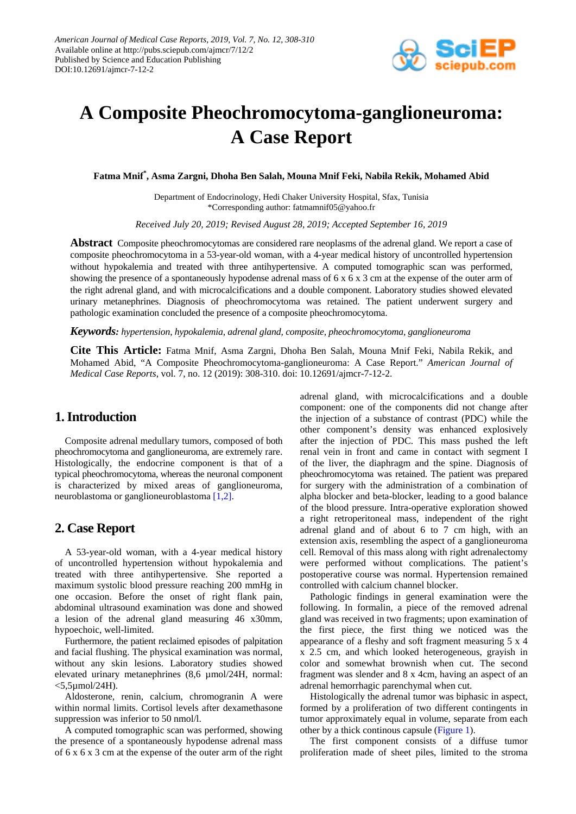

# **A Composite Pheochromocytoma-ganglioneuroma: A Case Report**

**Fatma Mnif\* , Asma Zargni, Dhoha Ben Salah, Mouna Mnif Feki, Nabila Rekik, Mohamed Abid**

Department of Endocrinology, Hedi Chaker University Hospital, Sfax, Tunisia \*Corresponding author: fatmamnif05@yahoo.fr

*Received July 20, 2019; Revised August 28, 2019; Accepted September 16, 2019*

**Abstract** Composite pheochromocytomas are considered rare neoplasms of the adrenal gland. We report a case of composite pheochromocytoma in a 53-year-old woman, with a 4-year medical history of uncontrolled hypertension without hypokalemia and treated with three antihypertensive. A computed tomographic scan was performed, showing the presence of a spontaneously hypodense adrenal mass of 6 x 6 x 3 cm at the expense of the outer arm of the right adrenal gland, and with microcalcifications and a double component. Laboratory studies showed elevated urinary metanephrines. Diagnosis of pheochromocytoma was retained. The patient underwent surgery and pathologic examination concluded the presence of a composite pheochromocytoma.

*Keywords: hypertension, hypokalemia, adrenal gland, composite, pheochromocytoma, ganglioneuroma*

**Cite This Article:** Fatma Mnif, Asma Zargni, Dhoha Ben Salah, Mouna Mnif Feki, Nabila Rekik, and Mohamed Abid, "A Composite Pheochromocytoma-ganglioneuroma: A Case Report." *American Journal of Medical Case Reports*, vol. 7, no. 12 (2019): 308-310. doi: 10.12691/ajmcr-7-12-2.

### **1. Introduction**

Composite adrenal medullary tumors, composed of both pheochromocytoma and ganglioneuroma, are extremely rare. Histologically, the endocrine component is that of a typical pheochromocytoma, whereas the neuronal component is characterized by mixed areas of ganglioneuroma, neuroblastoma or ganglioneuroblastoma [\[1,2\].](#page-2-0)

#### **2. Case Report**

A 53-year-old woman, with a 4-year medical history of uncontrolled hypertension without hypokalemia and treated with three antihypertensive. She reported a maximum systolic blood pressure reaching 200 mmHg in one occasion. Before the onset of right flank pain, abdominal ultrasound examination was done and showed a lesion of the adrenal gland measuring 46 x30mm, hypoechoic, well-limited.

Furthermore, the patient reclaimed episodes of palpitation and facial flushing. The physical examination was normal, without any skin lesions. Laboratory studies showed elevated urinary metanephrines (8,6 µmol/24H, normal:  $<$ 5,5 $\mu$ mol/24H).

Aldosterone, renin, calcium, chromogranin A were within normal limits. Cortisol levels after dexamethasone suppression was inferior to 50 nmol/l.

A computed tomographic scan was performed, showing the presence of a spontaneously hypodense adrenal mass of 6 x 6 x 3 cm at the expense of the outer arm of the right adrenal gland, with microcalcifications and a double component: one of the components did not change after the injection of a substance of contrast (PDC) while the other component's density was enhanced explosively after the injection of PDC. This mass pushed the left renal vein in front and came in contact with segment I of the liver, the diaphragm and the spine. Diagnosis of pheochromocytoma was retained. The patient was prepared for surgery with the administration of a combination of alpha blocker and beta-blocker, leading to a good balance of the blood pressure. Intra-operative exploration showed a right retroperitoneal mass, independent of the right adrenal gland and of about 6 to 7 cm high, with an extension axis, resembling the aspect of a ganglioneuroma cell. Removal of this mass along with right adrenalectomy were performed without complications. The patient's postoperative course was normal. Hypertension remained controlled with calcium channel blocker.

Pathologic findings in general examination were the following. In formalin, a piece of the removed adrenal gland was received in two fragments; upon examination of the first piece, the first thing we noticed was the appearance of a fleshy and soft fragment measuring 5 x 4 x 2.5 cm, and which looked heterogeneous, grayish in color and somewhat brownish when cut. The second fragment was slender and 8 x 4cm, having an aspect of an adrenal hemorrhagic parenchymal when cut.

Histologically the adrenal tumor was biphasic in aspect, formed by a proliferation of two different contingents in tumor approximately equal in volume, separate from each other by a thick continous capsule [\(Figure 1\)](#page-1-0).

The first component consists of a diffuse tumor proliferation made of sheet piles, limited to the stroma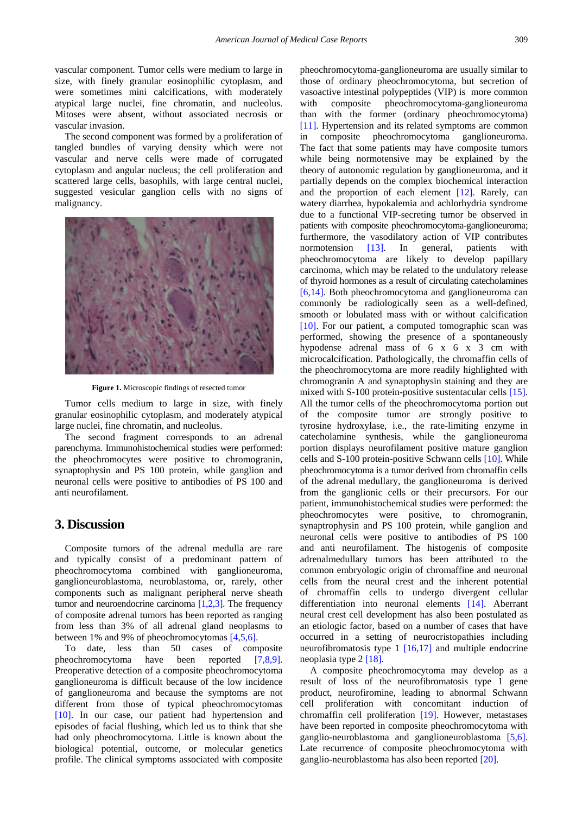vascular component. Tumor cells were medium to large in size, with finely granular eosinophilic cytoplasm, and were sometimes mini calcifications, with moderately atypical large nuclei, fine chromatin, and nucleolus. Mitoses were absent, without associated necrosis or vascular invasion.

The second component was formed by a proliferation of tangled bundles of varying density which were not vascular and nerve cells were made of corrugated cytoplasm and angular nucleus; the cell proliferation and scattered large cells, basophils, with large central nuclei, suggested vesicular ganglion cells with no signs of malignancy.

<span id="page-1-0"></span>

**Figure 1.** Microscopic findings of resected tumor

Tumor cells medium to large in size, with finely granular eosinophilic cytoplasm, and moderately atypical large nuclei, fine chromatin, and nucleolus.

The second fragment corresponds to an adrenal parenchyma. Immunohistochemical studies were performed: the pheochromocytes were positive to chromogranin, synaptophysin and PS 100 protein, while ganglion and neuronal cells were positive to antibodies of PS 100 and anti neurofilament.

#### **3. Discussion**

Composite tumors of the adrenal medulla are rare and typically consist of a predominant pattern of pheochromocytoma combined with ganglioneuroma, ganglioneuroblastoma, neuroblastoma, or, rarely, other components such as malignant peripheral nerve sheath tumor and neuroendocrine carcinoma [\[1,2,3\].](#page-2-0) The frequency of composite adrenal tumors has been reported as ranging from less than 3% of all adrenal gland neoplasms to between 1% and 9% of pheochromocytomas [\[4,5,6\].](#page-2-1)

To date, less than 50 cases of composite pheochromocytoma have been reported [\[7,8,9\].](#page-2-2) Preoperative detection of a composite pheochromocytoma ganglioneuroma is difficult because of the low incidence of ganglioneuroma and because the symptoms are not different from those of typical pheochromocytomas [\[10\].](#page-2-3) In our case, our patient had hypertension and episodes of facial flushing, which led us to think that she had only pheochromocytoma. Little is known about the biological potential, outcome, or molecular genetics profile. The clinical symptoms associated with composite

pheochromocytoma-ganglioneuroma are usually similar to those of ordinary pheochromocytoma, but secretion of vasoactive intestinal polypeptides (VIP) is more common with composite pheochromocytoma-ganglioneuroma than with the former (ordinary pheochromocytoma) [\[11\].](#page-2-4) Hypertension and its related symptoms are common in composite pheochromocytoma ganglioneuroma. The fact that some patients may have composite tumors while being normotensive may be explained by the theory of autonomic regulation by ganglioneuroma, and it partially depends on the complex biochemical interaction and the proportion of each element [\[12\].](#page-2-5) Rarely, can watery diarrhea, hypokalemia and achlorhydria syndrome due to a functional VIP-secreting tumor be observed in patients with composite pheochromocytoma-ganglioneuroma; furthermore, the vasodilatory action of VIP contributes normotension [\[13\].](#page-2-6) In general, patients with pheochromocytoma are likely to develop papillary carcinoma, which may be related to the undulatory release of thyroid hormones as a result of circulating catecholamines [\[6,14\].](#page-2-7) Both pheochromocytoma and ganglioneuroma can commonly be radiologically seen as a well-defined, smooth or lobulated mass with or without calcification [\[10\].](#page-2-3) For our patient, a computed tomographic scan was performed, showing the presence of a spontaneously hypodense adrenal mass of 6 x 6 x 3 cm with microcalcification. Pathologically, the chromaffin cells of the pheochromocytoma are more readily highlighted with chromogranin A and synaptophysin staining and they are mixed with S-100 protein-positive sustentacular cells [\[15\].](#page-2-8) All the tumor cells of the pheochromocytoma portion out of the composite tumor are strongly positive to tyrosine hydroxylase, i.e., the rate-limiting enzyme in catecholamine synthesis, while the ganglioneuroma portion displays neurofilament positive mature ganglion cells and S-100 protein-positive Schwann cells [\[10\].](#page-2-3) While pheochromocytoma is a tumor derived from chromaffin cells of the adrenal medullary, the ganglioneuroma is derived from the ganglionic cells or their precursors. For our patient, immunohistochemical studies were performed: the pheochromocytes were positive, to chromogranin, synaptrophysin and PS 100 protein, while ganglion and neuronal cells were positive to antibodies of PS 100 and anti neurofilament. The histogenis of composite adrenalmedullary tumors has been attributed to the common embryologic origin of chromaffine and neuronal cells from the neural crest and the inherent potential of chromaffin cells to undergo divergent cellular differentiation into neuronal elements [\[14\].](#page-2-9) Aberrant neural crest cell development has also been postulated as an etiologic factor, based on a number of cases that have occurred in a setting of neurocristopathies including neurofibromatosis type 1 [\[16,17\]](#page-2-10) and multiple endocrine neoplasia type [2 \[18\].](#page-2-11)

A composite pheochromocytoma may develop as a result of loss of the neurofibromatosis type 1 gene product, neurofiromine, leading to abnormal Schwann cell proliferation with concomitant induction of chromaffin cell proliferation [\[19\].](#page-2-12) However, metastases have been reported in composite pheochromocytoma with ganglio-neuroblastoma and ganglioneuroblastoma [\[5,6\].](#page-2-13) Late recurrence of composite pheochromocytoma with ganglio-neuroblastoma has also been reporte[d \[20\].](#page-2-14)